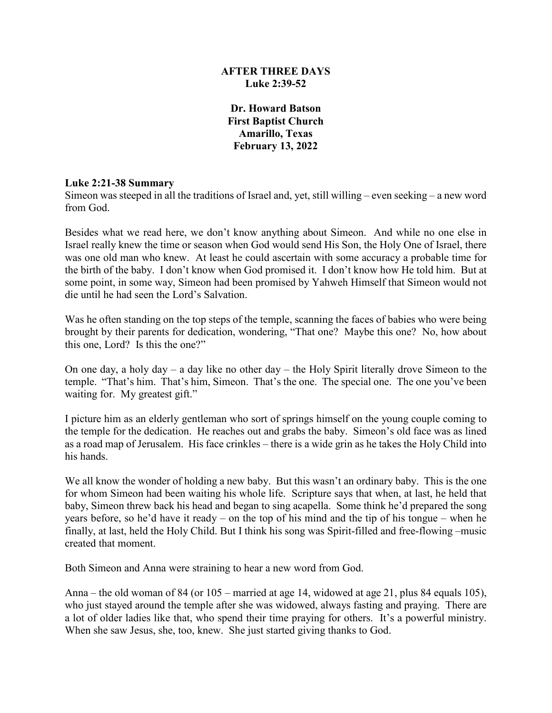## **AFTER THREE DAYS Luke 2:39-52**

**Dr. Howard Batson First Baptist Church Amarillo, Texas February 13, 2022**

### **Luke 2:21-38 Summary**

Simeon was steeped in all the traditions of Israel and, yet, still willing – even seeking – a new word from God.

Besides what we read here, we don't know anything about Simeon. And while no one else in Israel really knew the time or season when God would send His Son, the Holy One of Israel, there was one old man who knew. At least he could ascertain with some accuracy a probable time for the birth of the baby. I don't know when God promised it. I don't know how He told him. But at some point, in some way, Simeon had been promised by Yahweh Himself that Simeon would not die until he had seen the Lord's Salvation.

Was he often standing on the top steps of the temple, scanning the faces of babies who were being brought by their parents for dedication, wondering, "That one? Maybe this one? No, how about this one, Lord? Is this the one?"

On one day, a holy day – a day like no other day – the Holy Spirit literally drove Simeon to the temple. "That's him. That's him, Simeon. That's the one. The special one. The one you've been waiting for. My greatest gift."

I picture him as an elderly gentleman who sort of springs himself on the young couple coming to the temple for the dedication. He reaches out and grabs the baby. Simeon's old face was as lined as a road map of Jerusalem. His face crinkles – there is a wide grin as he takes the Holy Child into his hands.

We all know the wonder of holding a new baby. But this wasn't an ordinary baby. This is the one for whom Simeon had been waiting his whole life. Scripture says that when, at last, he held that baby, Simeon threw back his head and began to sing acapella. Some think he'd prepared the song years before, so he'd have it ready – on the top of his mind and the tip of his tongue – when he finally, at last, held the Holy Child. But I think his song was Spirit-filled and free-flowing –music created that moment.

Both Simeon and Anna were straining to hear a new word from God.

Anna – the old woman of 84 (or 105 – married at age 14, widowed at age 21, plus 84 equals 105), who just stayed around the temple after she was widowed, always fasting and praying. There are a lot of older ladies like that, who spend their time praying for others. It's a powerful ministry. When she saw Jesus, she, too, knew. She just started giving thanks to God.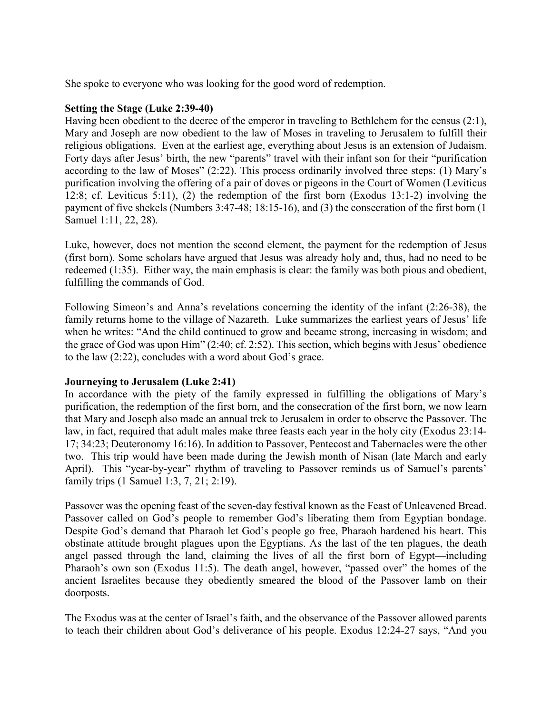She spoke to everyone who was looking for the good word of redemption.

### **Setting the Stage (Luke 2:39-40)**

Having been obedient to the decree of the emperor in traveling to Bethlehem for the census (2:1), Mary and Joseph are now obedient to the law of Moses in traveling to Jerusalem to fulfill their religious obligations. Even at the earliest age, everything about Jesus is an extension of Judaism. Forty days after Jesus' birth, the new "parents" travel with their infant son for their "purification according to the law of Moses" (2:22). This process ordinarily involved three steps: (1) Mary's purification involving the offering of a pair of doves or pigeons in the Court of Women (Leviticus 12:8; cf. Leviticus 5:11), (2) the redemption of the first born (Exodus 13:1-2) involving the payment of five shekels (Numbers 3:47-48; 18:15-16), and (3) the consecration of the first born (1 Samuel 1:11, 22, 28).

Luke, however, does not mention the second element, the payment for the redemption of Jesus (first born). Some scholars have argued that Jesus was already holy and, thus, had no need to be redeemed (1:35). Either way, the main emphasis is clear: the family was both pious and obedient, fulfilling the commands of God.

Following Simeon's and Anna's revelations concerning the identity of the infant (2:26-38), the family returns home to the village of Nazareth. Luke summarizes the earliest years of Jesus' life when he writes: "And the child continued to grow and became strong, increasing in wisdom; and the grace of God was upon Him" (2:40; cf. 2:52). This section, which begins with Jesus' obedience to the law (2:22), concludes with a word about God's grace.

# **Journeying to Jerusalem (Luke 2:41)**

In accordance with the piety of the family expressed in fulfilling the obligations of Mary's purification, the redemption of the first born, and the consecration of the first born, we now learn that Mary and Joseph also made an annual trek to Jerusalem in order to observe the Passover. The law, in fact, required that adult males make three feasts each year in the holy city (Exodus 23:14- 17; 34:23; Deuteronomy 16:16). In addition to Passover, Pentecost and Tabernacles were the other two. This trip would have been made during the Jewish month of Nisan (late March and early April). This "year-by-year" rhythm of traveling to Passover reminds us of Samuel's parents' family trips (1 Samuel 1:3, 7, 21; 2:19).

Passover was the opening feast of the seven-day festival known as the Feast of Unleavened Bread. Passover called on God's people to remember God's liberating them from Egyptian bondage. Despite God's demand that Pharaoh let God's people go free, Pharaoh hardened his heart. This obstinate attitude brought plagues upon the Egyptians. As the last of the ten plagues, the death angel passed through the land, claiming the lives of all the first born of Egypt—including Pharaoh's own son (Exodus 11:5). The death angel, however, "passed over" the homes of the ancient Israelites because they obediently smeared the blood of the Passover lamb on their doorposts.

The Exodus was at the center of Israel's faith, and the observance of the Passover allowed parents to teach their children about God's deliverance of his people. Exodus 12:24-27 says, "And you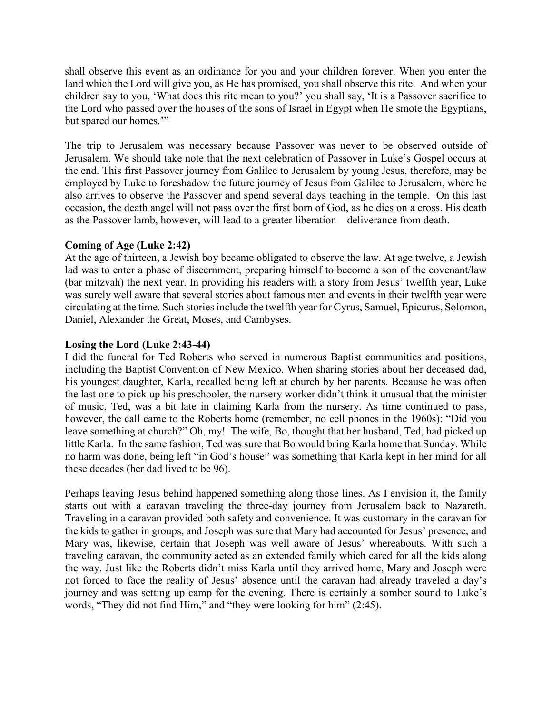shall observe this event as an ordinance for you and your children forever. When you enter the land which the Lord will give you, as He has promised, you shall observe this rite. And when your children say to you, 'What does this rite mean to you?' you shall say, 'It is a Passover sacrifice to the Lord who passed over the houses of the sons of Israel in Egypt when He smote the Egyptians, but spared our homes.'"

The trip to Jerusalem was necessary because Passover was never to be observed outside of Jerusalem. We should take note that the next celebration of Passover in Luke's Gospel occurs at the end. This first Passover journey from Galilee to Jerusalem by young Jesus, therefore, may be employed by Luke to foreshadow the future journey of Jesus from Galilee to Jerusalem, where he also arrives to observe the Passover and spend several days teaching in the temple. On this last occasion, the death angel will not pass over the first born of God, as he dies on a cross. His death as the Passover lamb, however, will lead to a greater liberation—deliverance from death.

## **Coming of Age (Luke 2:42)**

At the age of thirteen, a Jewish boy became obligated to observe the law. At age twelve, a Jewish lad was to enter a phase of discernment, preparing himself to become a son of the covenant/law (bar mitzvah) the next year. In providing his readers with a story from Jesus' twelfth year, Luke was surely well aware that several stories about famous men and events in their twelfth year were circulating at the time. Such stories include the twelfth year for Cyrus, Samuel, Epicurus, Solomon, Daniel, Alexander the Great, Moses, and Cambyses.

## **Losing the Lord (Luke 2:43-44)**

I did the funeral for Ted Roberts who served in numerous Baptist communities and positions, including the Baptist Convention of New Mexico. When sharing stories about her deceased dad, his youngest daughter, Karla, recalled being left at church by her parents. Because he was often the last one to pick up his preschooler, the nursery worker didn't think it unusual that the minister of music, Ted, was a bit late in claiming Karla from the nursery. As time continued to pass, however, the call came to the Roberts home (remember, no cell phones in the 1960s): "Did you leave something at church?" Oh, my! The wife, Bo, thought that her husband, Ted, had picked up little Karla. In the same fashion, Ted was sure that Bo would bring Karla home that Sunday. While no harm was done, being left "in God's house" was something that Karla kept in her mind for all these decades (her dad lived to be 96).

Perhaps leaving Jesus behind happened something along those lines. As I envision it, the family starts out with a caravan traveling the three-day journey from Jerusalem back to Nazareth. Traveling in a caravan provided both safety and convenience. It was customary in the caravan for the kids to gather in groups, and Joseph was sure that Mary had accounted for Jesus' presence, and Mary was, likewise, certain that Joseph was well aware of Jesus' whereabouts. With such a traveling caravan, the community acted as an extended family which cared for all the kids along the way. Just like the Roberts didn't miss Karla until they arrived home, Mary and Joseph were not forced to face the reality of Jesus' absence until the caravan had already traveled a day's journey and was setting up camp for the evening. There is certainly a somber sound to Luke's words, "They did not find Him," and "they were looking for him" (2:45).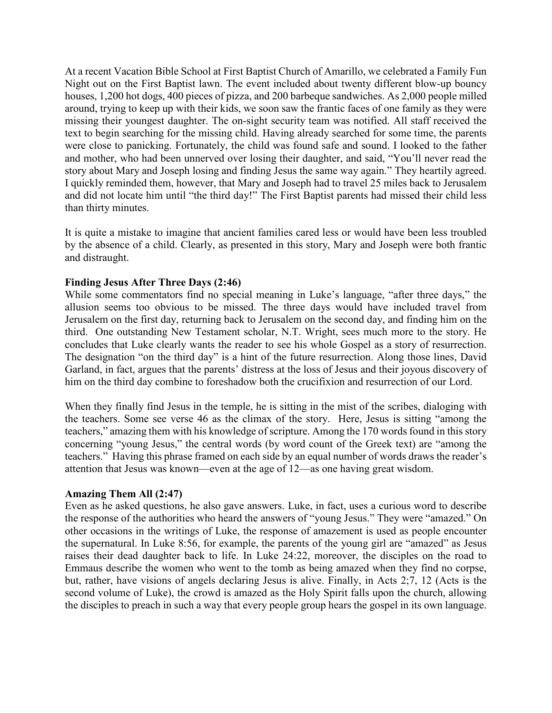At a recent Vacation Bible School at First Baptist Church of Amarillo, we celebrated a Family Fun Night out on the First Baptist lawn. The event included about twenty different blow-up bouncy houses, 1,200 hot dogs, 400 pieces of pizza, and 200 barbeque sandwiches. As 2,000 people milled around, trying to keep up with their kids, we soon saw the frantic faces of one family as they were missing their youngest daughter. The on-sight security team was notified. All staff received the text to begin searching for the missing child. Having already searched for some time, the parents were close to panicking. Fortunately, the child was found safe and sound. I looked to the father and mother, who had been unnerved over losing their daughter, and said, "You'll never read the story about Mary and Joseph losing and finding Jesus the same way again." They heartily agreed. I quickly reminded them, however, that Mary and Joseph had to travel 25 miles back to Jerusalem and did not locate him until "the third day!" The First Baptist parents had missed their child less than thirty minutes.

It is quite a mistake to imagine that ancient families cared less or would have been less troubled by the absence of a child. Clearly, as presented in this story, Mary and Joseph were both frantic and distraught.

### **Finding Jesus After Three Days (2:46)**

While some commentators find no special meaning in Luke's language, "after three days," the allusion seems too obvious to be missed. The three days would have included travel from Jerusalem on the first day, returning back to Jerusalem on the second day, and finding him on the third. One outstanding New Testament scholar, N.T. Wright, sees much more to the story. He concludes that Luke clearly wants the reader to see his whole Gospel as a story of resurrection. The designation "on the third day" is a hint of the future resurrection. Along those lines, David Garland, in fact, argues that the parents' distress at the loss of Jesus and their joyous discovery of him on the third day combine to foreshadow both the crucifixion and resurrection of our Lord.

When they finally find Jesus in the temple, he is sitting in the mist of the scribes, dialoging with the teachers. Some see verse 46 as the climax of the story. Here, Jesus is sitting "among the teachers," amazing them with his knowledge of scripture. Among the 170 words found in this story concerning "young Jesus," the central words (by word count of the Greek text) are "among the teachers." Having this phrase framed on each side by an equal number of words draws the reader's attention that Jesus was known—even at the age of 12—as one having great wisdom.

#### **Amazing Them All (2:47)**

Even as he asked questions, he also gave answers. Luke, in fact, uses a curious word to describe the response of the authorities who heard the answers of "young Jesus." They were "amazed." On other occasions in the writings of Luke, the response of amazement is used as people encounter the supernatural. In Luke 8:56, for example, the parents of the young girl are "amazed" as Jesus raises their dead daughter back to life. In Luke 24:22, moreover, the disciples on the road to Emmaus describe the women who went to the tomb as being amazed when they find no corpse, but, rather, have visions of angels declaring Jesus is alive. Finally, in Acts 2;7, 12 (Acts is the second volume of Luke), the crowd is amazed as the Holy Spirit falls upon the church, allowing the disciples to preach in such a way that every people group hears the gospel in its own language.